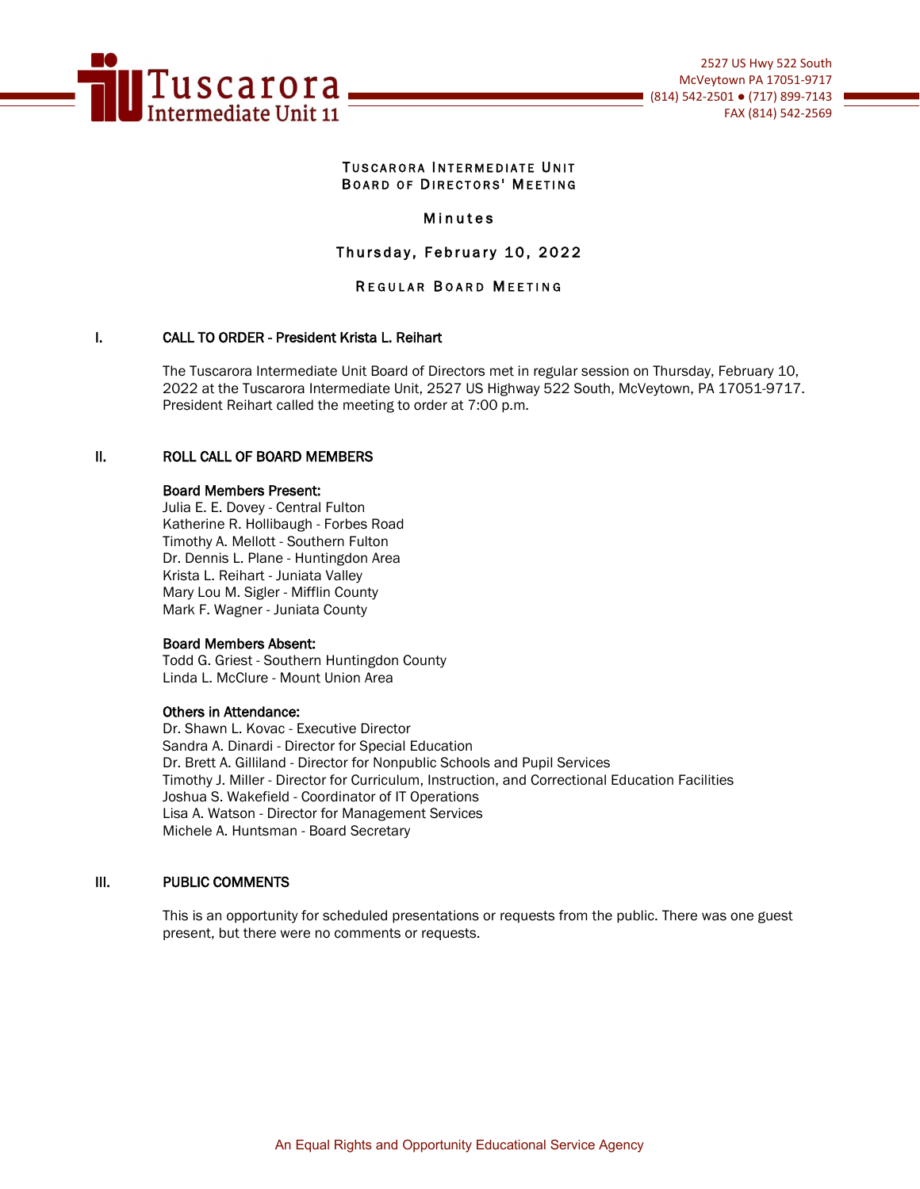

### TUSCARORA INTERMEDIATE UNIT BOARD OF DIRECTORS' MEETING

### Minutes

# Thursday, February 10, 2022

### REGULAR BOARD MEETING

### I. CALL TO ORDER - President Krista L. Reihart

The Tuscarora Intermediate Unit Board of Directors met in regular session on Thursday, February 10, 2022 at the Tuscarora Intermediate Unit, 2527 US Highway 522 South, McVeytown, PA 17051-9717. President Reihart called the meeting to order at 7:00 p.m.

#### II. ROLL CALL OF BOARD MEMBERS

### Board Members Present:

Julia E. E. Dovey - Central Fulton Katherine R. Hollibaugh - Forbes Road Timothy A. Mellott - Southern Fulton Dr. Dennis L. Plane - Huntingdon Area Krista L. Reihart - Juniata Valley Mary Lou M. Sigler - Mifflin County Mark F. Wagner - Juniata County

#### Board Members Absent:

Todd G. Griest - Southern Huntingdon County Linda L. McClure - Mount Union Area

### Others in Attendance:

Dr. Shawn L. Kovac - Executive Director Sandra A. Dinardi - Director for Special Education Dr. Brett A. Gilliland - Director for Nonpublic Schools and Pupil Services Timothy J. Miller - Director for Curriculum, Instruction, and Correctional Education Facilities Joshua S. Wakefield - Coordinator of IT Operations Lisa A. Watson - Director for Management Services Michele A. Huntsman - Board Secretary

#### III. PUBLIC COMMENTS

This is an opportunity for scheduled presentations or requests from the public. There was one guest present, but there were no comments or requests.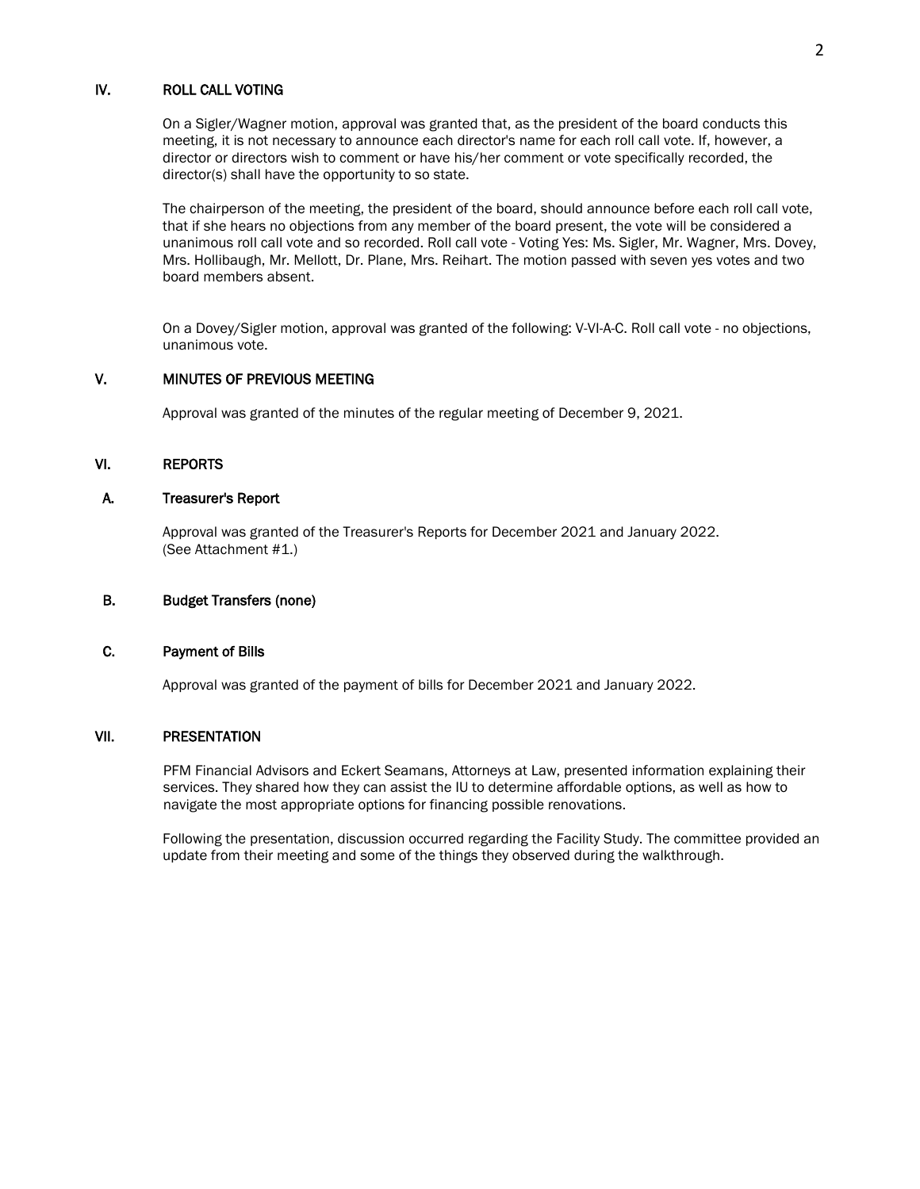### IV. ROLL CALL VOTING

On a Sigler/Wagner motion, approval was granted that, as the president of the board conducts this meeting, it is not necessary to announce each director's name for each roll call vote. If, however, a director or directors wish to comment or have his/her comment or vote specifically recorded, the director(s) shall have the opportunity to so state.

The chairperson of the meeting, the president of the board, should announce before each roll call vote, that if she hears no objections from any member of the board present, the vote will be considered a unanimous roll call vote and so recorded. Roll call vote - Voting Yes: Ms. Sigler, Mr. Wagner, Mrs. Dovey, Mrs. Hollibaugh, Mr. Mellott, Dr. Plane, Mrs. Reihart. The motion passed with seven yes votes and two board members absent.

 On a Dovey/Sigler motion, approval was granted of the following: V-VI-A-C. Roll call vote - no objections, unanimous vote.

### V. MINUTES OF PREVIOUS MEETING

Approval was granted of the minutes of the regular meeting of December 9, 2021.

### VI. REPORTS

### A. Treasurer's Report

 Approval was granted of the Treasurer's Reports for December 2021 and January 2022. (See Attachment #1.)

### B. Budget Transfers (none)

### C. Payment of Bills

Approval was granted of the payment of bills for December 2021 and January 2022.

# VII. PRESENTATION

PFM Financial Advisors and Eckert Seamans, Attorneys at Law, presented information explaining their services. They shared how they can assist the IU to determine affordable options, as well as how to navigate the most appropriate options for financing possible renovations.

Following the presentation, discussion occurred regarding the Facility Study. The committee provided an update from their meeting and some of the things they observed during the walkthrough.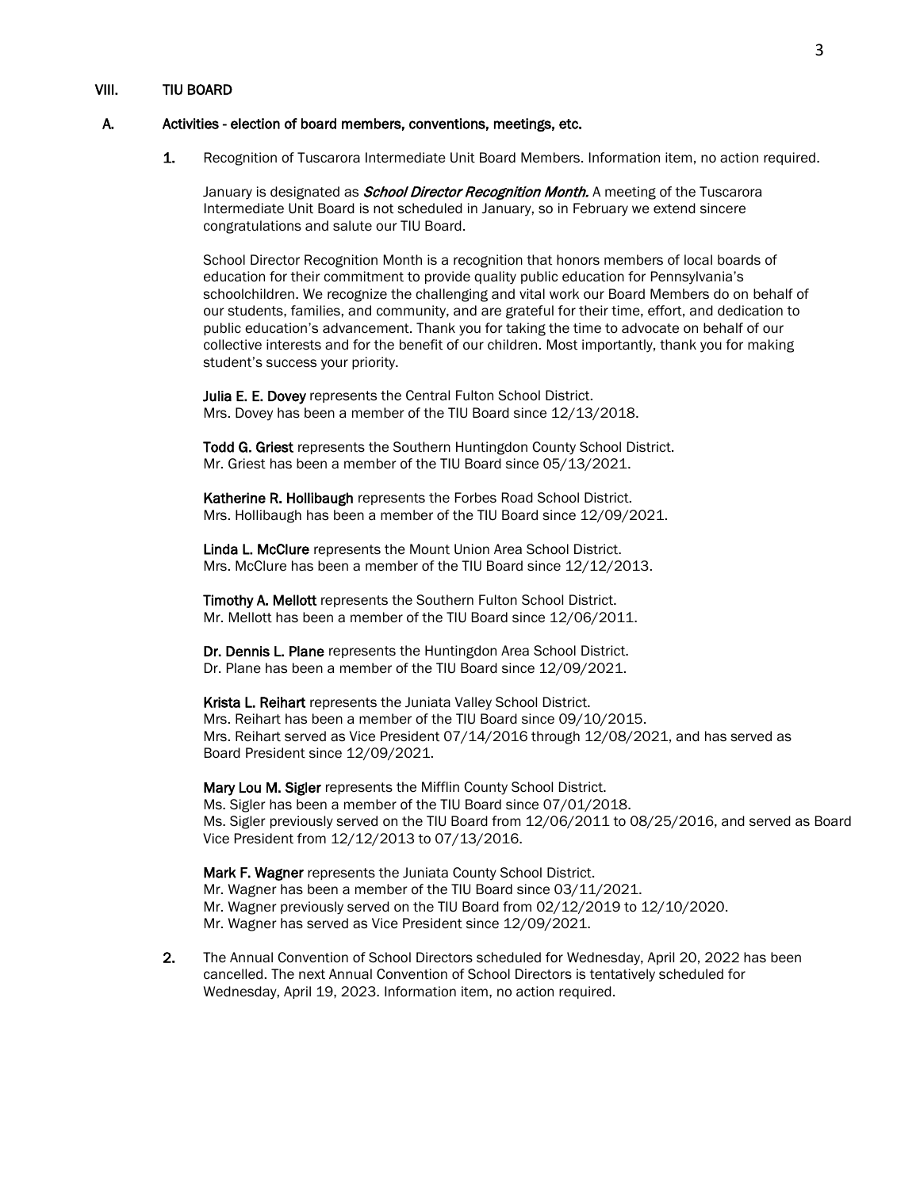#### A. Activities - election of board members, conventions, meetings, etc.

1. Recognition of Tuscarora Intermediate Unit Board Members. Information item, no action required.

January is designated as *School Director Recognition Month*. A meeting of the Tuscarora Intermediate Unit Board is not scheduled in January, so in February we extend sincere congratulations and salute our TIU Board.

School Director Recognition Month is a recognition that honors members of local boards of education for their commitment to provide quality public education for Pennsylvania's schoolchildren. We recognize the challenging and vital work our Board Members do on behalf of our students, families, and community, and are grateful for their time, effort, and dedication to public education's advancement. Thank you for taking the time to advocate on behalf of our collective interests and for the benefit of our children. Most importantly, thank you for making student's success your priority.

Julia E. E. Dovey represents the Central Fulton School District. Mrs. Dovey has been a member of the TIU Board since 12/13/2018.

Todd G. Griest represents the Southern Huntingdon County School District. Mr. Griest has been a member of the TIU Board since 05/13/2021.

Katherine R. Hollibaugh represents the Forbes Road School District. Mrs. Hollibaugh has been a member of the TIU Board since 12/09/2021.

Linda L. McClure represents the Mount Union Area School District. Mrs. McClure has been a member of the TIU Board since 12/12/2013.

Timothy A. Mellott represents the Southern Fulton School District. Mr. Mellott has been a member of the TIU Board since 12/06/2011.

Dr. Dennis L. Plane represents the Huntingdon Area School District. Dr. Plane has been a member of the TIU Board since 12/09/2021.

Krista L. Reihart represents the Juniata Valley School District. Mrs. Reihart has been a member of the TIU Board since 09/10/2015. Mrs. Reihart served as Vice President 07/14/2016 through 12/08/2021, and has served as Board President since 12/09/2021.

Mary Lou M. Sigler represents the Mifflin County School District. Ms. Sigler has been a member of the TIU Board since 07/01/2018. Ms. Sigler previously served on the TIU Board from 12/06/2011 to 08/25/2016, and served as Board Vice President from 12/12/2013 to 07/13/2016.

Mark F. Wagner represents the Juniata County School District. Mr. Wagner has been a member of the TIU Board since 03/11/2021. Mr. Wagner previously served on the TIU Board from 02/12/2019 to 12/10/2020. Mr. Wagner has served as Vice President since 12/09/2021.

2. The Annual Convention of School Directors scheduled for Wednesday, April 20, 2022 has been cancelled. The next Annual Convention of School Directors is tentatively scheduled for Wednesday, April 19, 2023. Information item, no action required.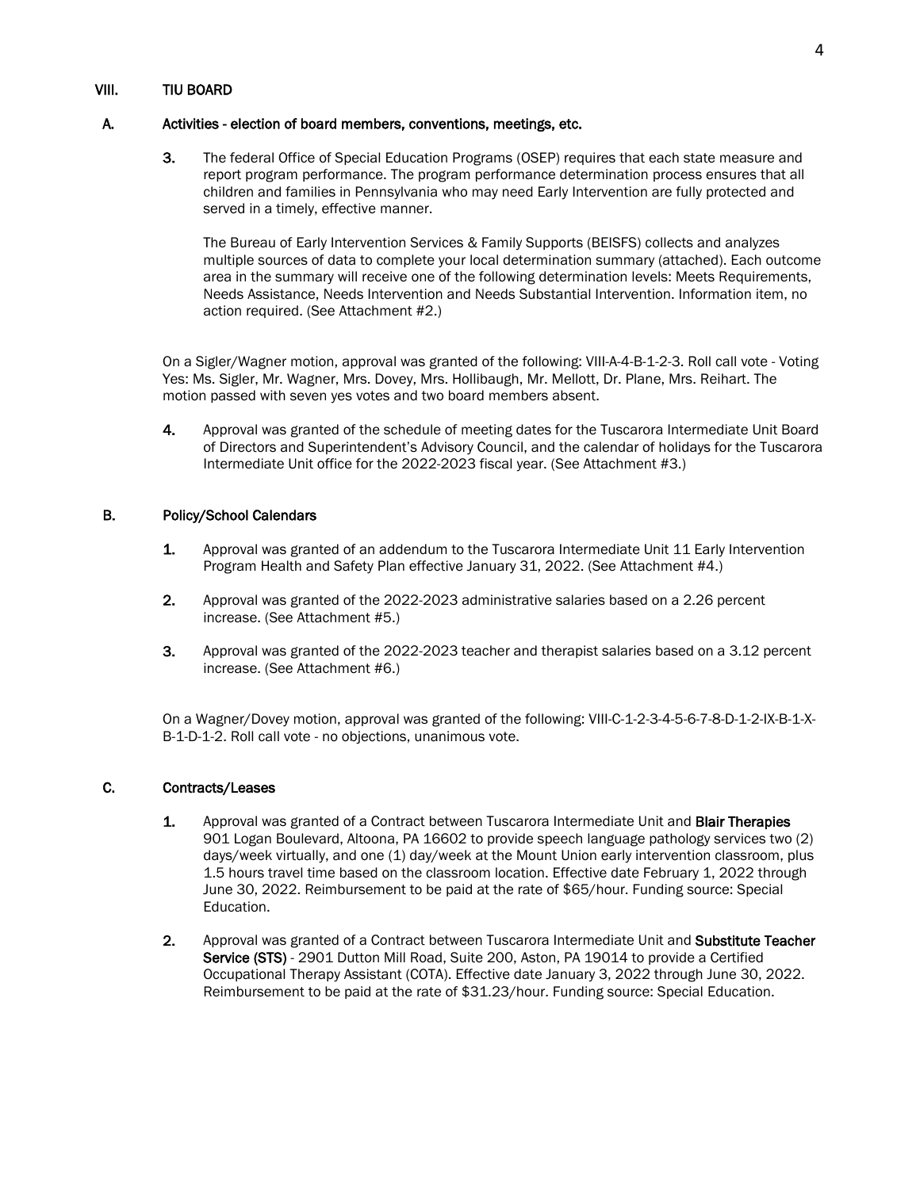### A. Activities - election of board members, conventions, meetings, etc.

3. The federal Office of Special Education Programs (OSEP) requires that each state measure and report program performance. The program performance determination process ensures that all children and families in Pennsylvania who may need Early Intervention are fully protected and served in a timely, effective manner.

The Bureau of Early Intervention Services & Family Supports (BEISFS) collects and analyzes multiple sources of data to complete your local determination summary (attached). Each outcome area in the summary will receive one of the following determination levels: Meets Requirements, Needs Assistance, Needs Intervention and Needs Substantial Intervention. Information item, no action required. (See Attachment #2.)

 On a Sigler/Wagner motion, approval was granted of the following: VIII-A-4-B-1-2-3. Roll call vote - Voting Yes: Ms. Sigler, Mr. Wagner, Mrs. Dovey, Mrs. Hollibaugh, Mr. Mellott, Dr. Plane, Mrs. Reihart. The motion passed with seven yes votes and two board members absent.

4. Approval was granted of the schedule of meeting dates for the Tuscarora Intermediate Unit Board of Directors and Superintendent's Advisory Council, and the calendar of holidays for the Tuscarora Intermediate Unit office for the 2022-2023 fiscal year. (See Attachment #3.)

### B. Policy/School Calendars

- 1. Approval was granted of an addendum to the Tuscarora Intermediate Unit 11 Early Intervention Program Health and Safety Plan effective January 31, 2022. (See Attachment #4.)
- 2. Approval was granted of the 2022-2023 administrative salaries based on a 2.26 percent increase. (See Attachment #5.)
- 3. Approval was granted of the 2022-2023 teacher and therapist salaries based on a 3.12 percent increase. (See Attachment #6.)

 On a Wagner/Dovey motion, approval was granted of the following: VIII-C-1-2-3-4-5-6-7-8-D-1-2-IX-B-1-X-B-1-D-1-2. Roll call vote - no objections, unanimous vote.

### C. Contracts/Leases

- 1. Approval was granted of a Contract between Tuscarora Intermediate Unit and Blair Therapies 901 Logan Boulevard, Altoona, PA 16602 to provide speech language pathology services two (2) days/week virtually, and one (1) day/week at the Mount Union early intervention classroom, plus 1.5 hours travel time based on the classroom location. Effective date February 1, 2022 through June 30, 2022. Reimbursement to be paid at the rate of \$65/hour. Funding source: Special Education.
- 2. Approval was granted of a Contract between Tuscarora Intermediate Unit and Substitute Teacher Service (STS) - 2901 Dutton Mill Road, Suite 200, Aston, PA 19014 to provide a Certified Occupational Therapy Assistant (COTA). Effective date January 3, 2022 through June 30, 2022. Reimbursement to be paid at the rate of \$31.23/hour. Funding source: Special Education.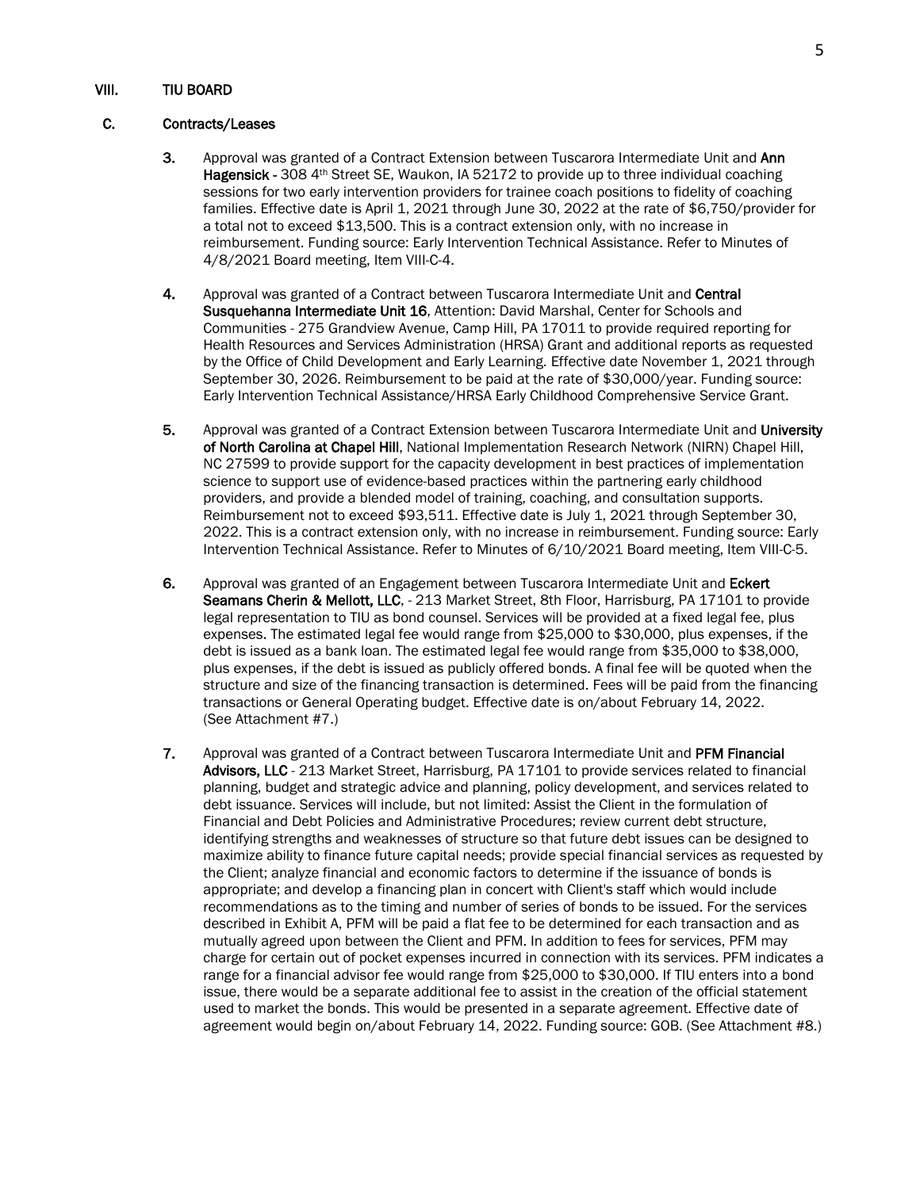### C. Contracts/Leases

- 3. Approval was granted of a Contract Extension between Tuscarora Intermediate Unit and Ann Hagensick - 308 4<sup>th</sup> Street SE, Waukon, IA 52172 to provide up to three individual coaching sessions for two early intervention providers for trainee coach positions to fidelity of coaching families. Effective date is April 1, 2021 through June 30, 2022 at the rate of \$6,750/provider for a total not to exceed \$13,500. This is a contract extension only, with no increase in reimbursement. Funding source: Early Intervention Technical Assistance. Refer to Minutes of 4/8/2021 Board meeting, Item VIII-C-4.
- 4. Approval was granted of a Contract between Tuscarora Intermediate Unit and Central Susquehanna Intermediate Unit 16, Attention: David Marshal, Center for Schools and Communities - 275 Grandview Avenue, Camp Hill, PA 17011 to provide required reporting for Health Resources and Services Administration (HRSA) Grant and additional reports as requested by the Office of Child Development and Early Learning. Effective date November 1, 2021 through September 30, 2026. Reimbursement to be paid at the rate of \$30,000/year. Funding source: Early Intervention Technical Assistance/HRSA Early Childhood Comprehensive Service Grant.
- 5. Approval was granted of a Contract Extension between Tuscarora Intermediate Unit and University of North Carolina at Chapel Hill, National Implementation Research Network (NIRN) Chapel Hill, NC 27599 to provide support for the capacity development in best practices of implementation science to support use of evidence-based practices within the partnering early childhood providers, and provide a blended model of training, coaching, and consultation supports. Reimbursement not to exceed \$93,511. Effective date is July 1, 2021 through September 30, 2022. This is a contract extension only, with no increase in reimbursement. Funding source: Early Intervention Technical Assistance. Refer to Minutes of 6/10/2021 Board meeting, Item VIII-C-5.
- 6. Approval was granted of an Engagement between Tuscarora Intermediate Unit and Eckert Seamans Cherin & Mellott, LLC, - 213 Market Street, 8th Floor, Harrisburg, PA 17101 to provide legal representation to TIU as bond counsel. Services will be provided at a fixed legal fee, plus expenses. The estimated legal fee would range from \$25,000 to \$30,000, plus expenses, if the debt is issued as a bank loan. The estimated legal fee would range from \$35,000 to \$38,000, plus expenses, if the debt is issued as publicly offered bonds. A final fee will be quoted when the structure and size of the financing transaction is determined. Fees will be paid from the financing transactions or General Operating budget. Effective date is on/about February 14, 2022. (See Attachment #7.)
- 7. Approval was granted of a Contract between Tuscarora Intermediate Unit and PFM Financial Advisors, LLC - 213 Market Street, Harrisburg, PA 17101 to provide services related to financial planning, budget and strategic advice and planning, policy development, and services related to debt issuance. Services will include, but not limited: Assist the Client in the formulation of Financial and Debt Policies and Administrative Procedures; review current debt structure, identifying strengths and weaknesses of structure so that future debt issues can be designed to maximize ability to finance future capital needs; provide special financial services as requested by the Client; analyze financial and economic factors to determine if the issuance of bonds is appropriate; and develop a financing plan in concert with Client's staff which would include recommendations as to the timing and number of series of bonds to be issued. For the services described in Exhibit A, PFM will be paid a flat fee to be determined for each transaction and as mutually agreed upon between the Client and PFM. In addition to fees for services, PFM may charge for certain out of pocket expenses incurred in connection with its services. PFM indicates a range for a financial advisor fee would range from \$25,000 to \$30,000. If TIU enters into a bond issue, there would be a separate additional fee to assist in the creation of the official statement used to market the bonds. This would be presented in a separate agreement. Effective date of agreement would begin on/about February 14, 2022. Funding source: GOB. (See Attachment #8.)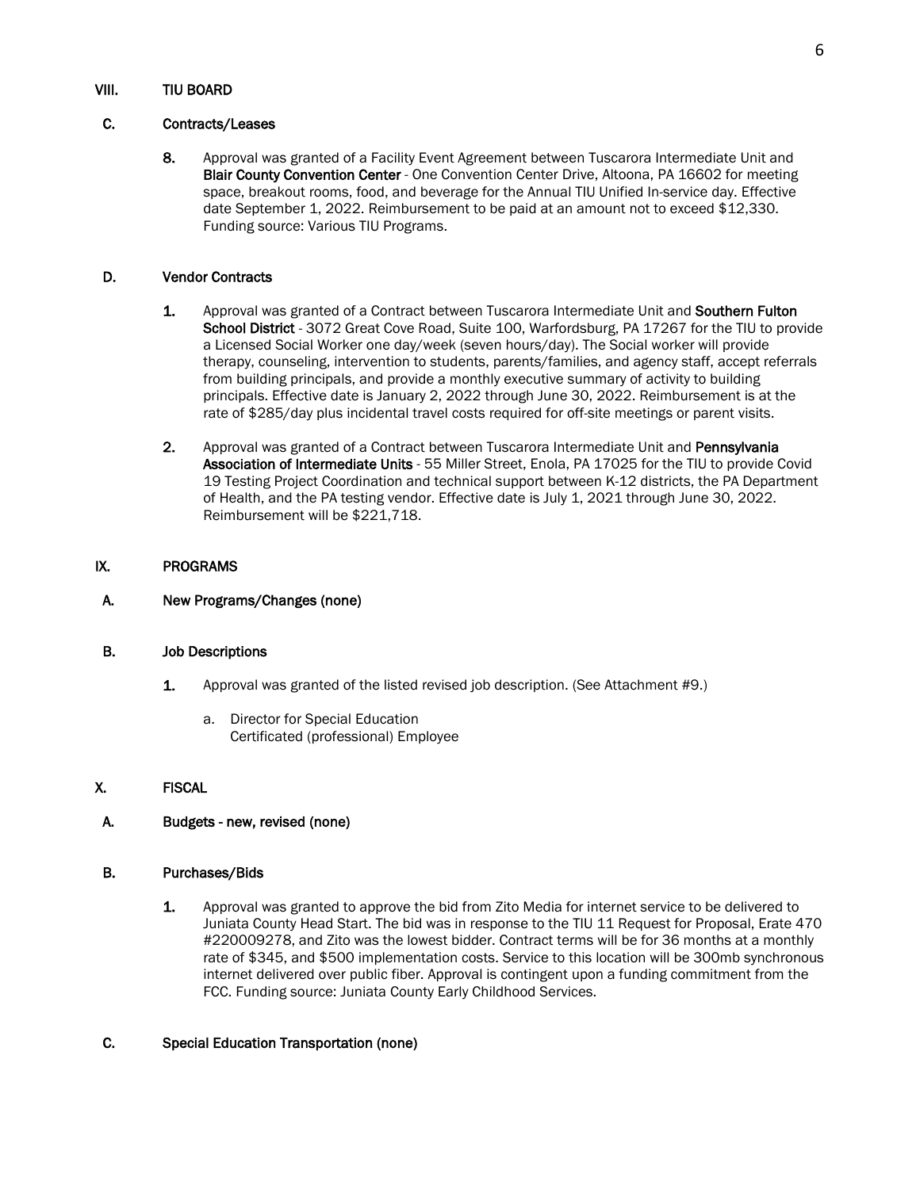### C. Contracts/Leases

8. Approval was granted of a Facility Event Agreement between Tuscarora Intermediate Unit and Blair County Convention Center - One Convention Center Drive, Altoona, PA 16602 for meeting space, breakout rooms, food, and beverage for the Annual TIU Unified In-service day. Effective date September 1, 2022. Reimbursement to be paid at an amount not to exceed \$12,330. Funding source: Various TIU Programs.

### D. Vendor Contracts

- 1. Approval was granted of a Contract between Tuscarora Intermediate Unit and Southern Fulton School District - 3072 Great Cove Road, Suite 100, Warfordsburg, PA 17267 for the TIU to provide a Licensed Social Worker one day/week (seven hours/day). The Social worker will provide therapy, counseling, intervention to students, parents/families, and agency staff, accept referrals from building principals, and provide a monthly executive summary of activity to building principals. Effective date is January 2, 2022 through June 30, 2022. Reimbursement is at the rate of \$285/day plus incidental travel costs required for off-site meetings or parent visits.
- 2. Approval was granted of a Contract between Tuscarora Intermediate Unit and Pennsylvania Association of Intermediate Units - 55 Miller Street, Enola, PA 17025 for the TIU to provide Covid 19 Testing Project Coordination and technical support between K-12 districts, the PA Department of Health, and the PA testing vendor. Effective date is July 1, 2021 through June 30, 2022. Reimbursement will be \$221,718.

### IX. PROGRAMS

#### A. New Programs/Changes (none)

### B. Job Descriptions

- 1. Approval was granted of the listed revised job description. (See Attachment #9.)
	- a. Director for Special Education Certificated (professional) Employee
- X. FISCAL
- A. Budgets new, revised (none)

#### B. Purchases/Bids

1. Approval was granted to approve the bid from Zito Media for internet service to be delivered to Juniata County Head Start. The bid was in response to the TIU 11 Request for Proposal, Erate 470 #220009278, and Zito was the lowest bidder. Contract terms will be for 36 months at a monthly rate of \$345, and \$500 implementation costs. Service to this location will be 300mb synchronous internet delivered over public fiber. Approval is contingent upon a funding commitment from the FCC. Funding source: Juniata County Early Childhood Services.

#### C. Special Education Transportation (none)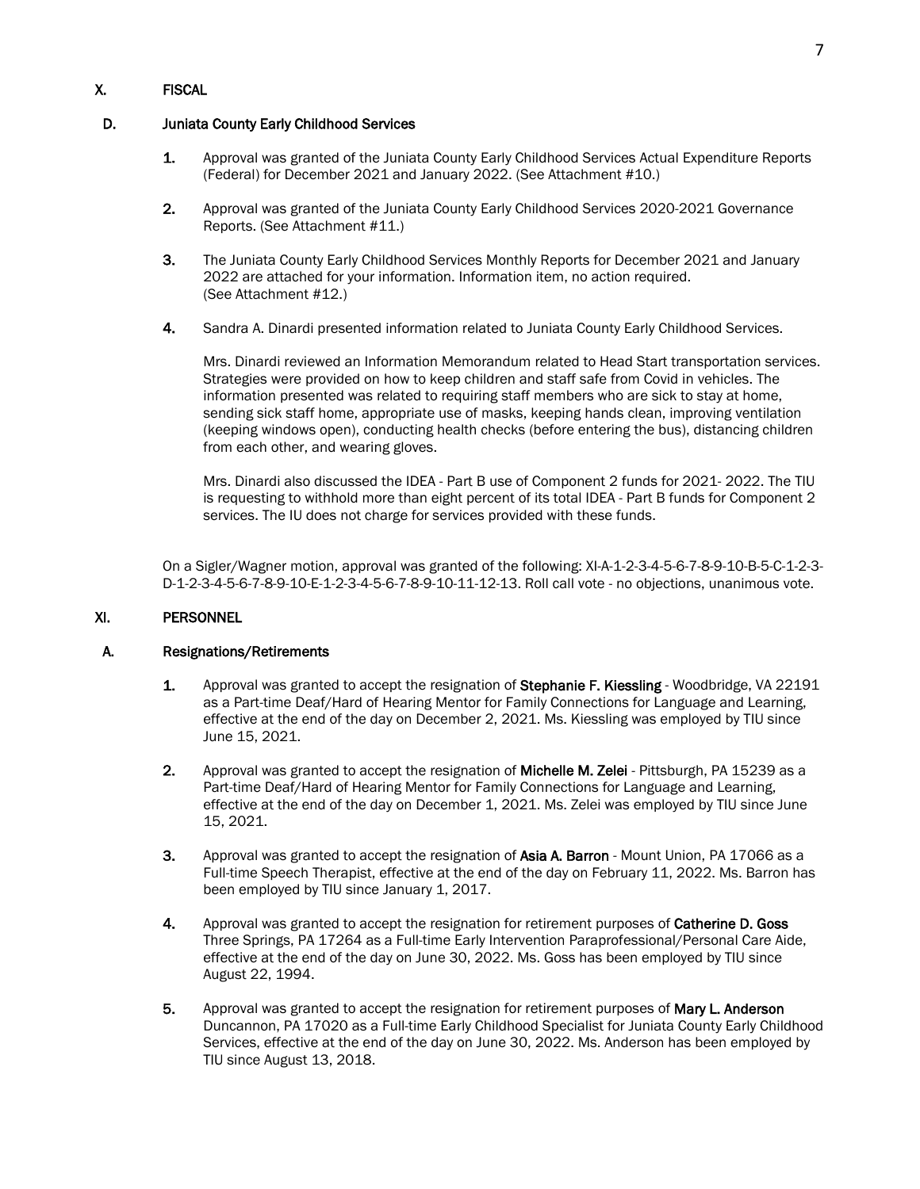# X. FISCAL

## D. Juniata County Early Childhood Services

- 1. Approval was granted of the Juniata County Early Childhood Services Actual Expenditure Reports (Federal) for December 2021 and January 2022. (See Attachment #10.)
- 2. Approval was granted of the Juniata County Early Childhood Services 2020-2021 Governance Reports. (See Attachment #11.)
- 3. The Juniata County Early Childhood Services Monthly Reports for December 2021 and January 2022 are attached for your information. Information item, no action required. (See Attachment #12.)
- 4. Sandra A. Dinardi presented information related to Juniata County Early Childhood Services.

Mrs. Dinardi reviewed an Information Memorandum related to Head Start transportation services. Strategies were provided on how to keep children and staff safe from Covid in vehicles. The information presented was related to requiring staff members who are sick to stay at home, sending sick staff home, appropriate use of masks, keeping hands clean, improving ventilation (keeping windows open), conducting health checks (before entering the bus), distancing children from each other, and wearing gloves.

Mrs. Dinardi also discussed the IDEA - Part B use of Component 2 funds for 2021- 2022. The TIU is requesting to withhold more than eight percent of its total IDEA - Part B funds for Component 2 services. The IU does not charge for services provided with these funds.

 On a Sigler/Wagner motion, approval was granted of the following: XI-A-1-2-3-4-5-6-7-8-9-10-B-5-C-1-2-3- D-1-2-3-4-5-6-7-8-9-10-E-1-2-3-4-5-6-7-8-9-10-11-12-13. Roll call vote - no objections, unanimous vote.

# XI. PERSONNEL

### A. Resignations/Retirements

- 1. Approval was granted to accept the resignation of Stephanie F. Kiessling Woodbridge, VA 22191 as a Part-time Deaf/Hard of Hearing Mentor for Family Connections for Language and Learning, effective at the end of the day on December 2, 2021. Ms. Kiessling was employed by TIU since June 15, 2021.
- 2. Approval was granted to accept the resignation of Michelle M. Zelei Pittsburgh, PA 15239 as a Part-time Deaf/Hard of Hearing Mentor for Family Connections for Language and Learning, effective at the end of the day on December 1, 2021. Ms. Zelei was employed by TIU since June 15, 2021.
- 3. Approval was granted to accept the resignation of Asia A. Barron Mount Union, PA 17066 as a Full-time Speech Therapist, effective at the end of the day on February 11, 2022. Ms. Barron has been employed by TIU since January 1, 2017.
- 4. Approval was granted to accept the resignation for retirement purposes of Catherine D. Goss Three Springs, PA 17264 as a Full-time Early Intervention Paraprofessional/Personal Care Aide, effective at the end of the day on June 30, 2022. Ms. Goss has been employed by TIU since August 22, 1994.
- 5. Approval was granted to accept the resignation for retirement purposes of Mary L. Anderson Duncannon, PA 17020 as a Full-time Early Childhood Specialist for Juniata County Early Childhood Services, effective at the end of the day on June 30, 2022. Ms. Anderson has been employed by TIU since August 13, 2018.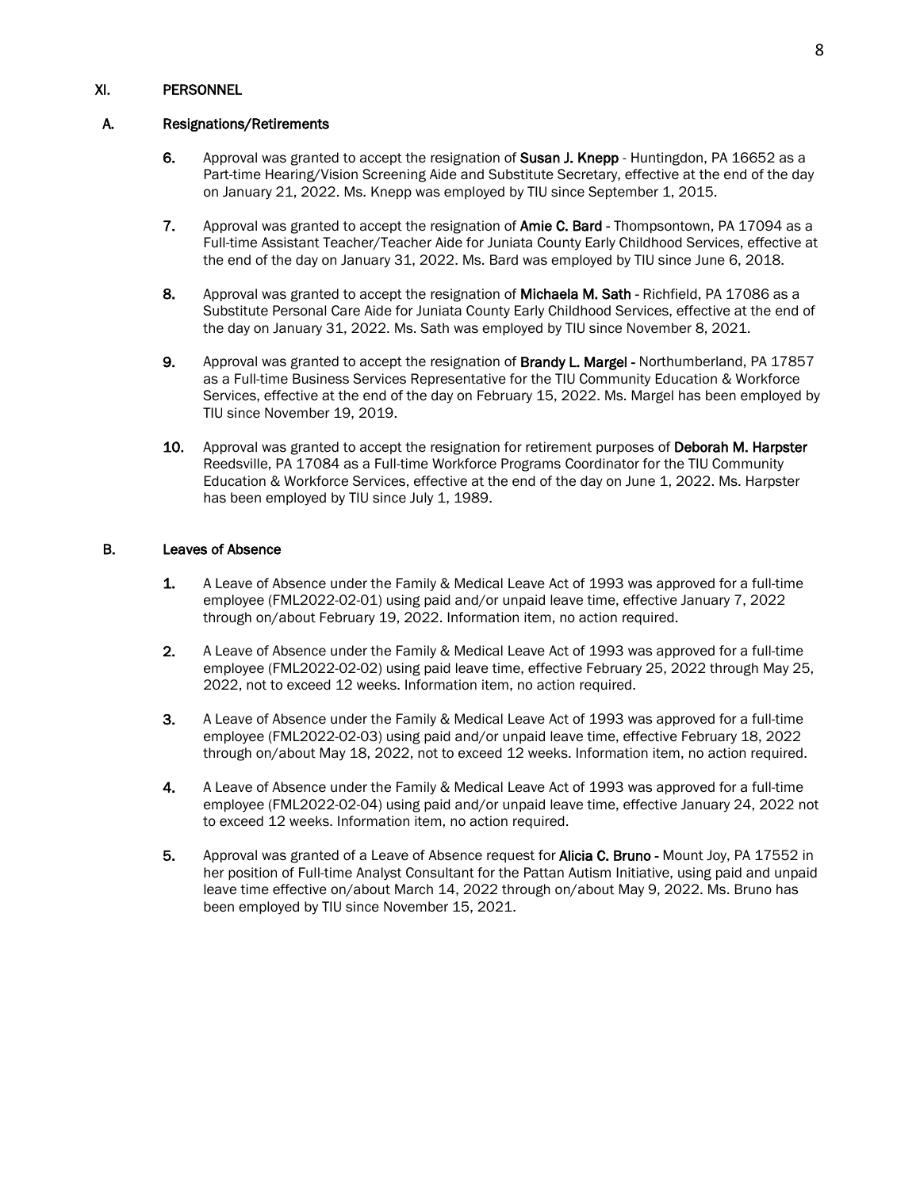### A. Resignations/Retirements

- 6. Approval was granted to accept the resignation of Susan J. Knepp Huntingdon, PA 16652 as a Part-time Hearing/Vision Screening Aide and Substitute Secretary, effective at the end of the day on January 21, 2022. Ms. Knepp was employed by TIU since September 1, 2015.
- 7. Approval was granted to accept the resignation of **Amie C. Bard** Thompsontown, PA 17094 as a Full-time Assistant Teacher/Teacher Aide for Juniata County Early Childhood Services, effective at the end of the day on January 31, 2022. Ms. Bard was employed by TIU since June 6, 2018.
- 8. Approval was granted to accept the resignation of **Michaela M. Sath** Richfield, PA 17086 as a Substitute Personal Care Aide for Juniata County Early Childhood Services, effective at the end of the day on January 31, 2022. Ms. Sath was employed by TIU since November 8, 2021.
- 9. Approval was granted to accept the resignation of Brandy L. Margel Northumberland, PA 17857 as a Full-time Business Services Representative for the TIU Community Education & Workforce Services, effective at the end of the day on February 15, 2022. Ms. Margel has been employed by TIU since November 19, 2019.
- 10. Approval was granted to accept the resignation for retirement purposes of Deborah M. Harpster Reedsville, PA 17084 as a Full-time Workforce Programs Coordinator for the TIU Community Education & Workforce Services, effective at the end of the day on June 1, 2022. Ms. Harpster has been employed by TIU since July 1, 1989.

### B. Leaves of Absence

- 1. A Leave of Absence under the Family & Medical Leave Act of 1993 was approved for a full-time employee (FML2022-02-01) using paid and/or unpaid leave time, effective January 7, 2022 through on/about February 19, 2022. Information item, no action required.
- 2. A Leave of Absence under the Family & Medical Leave Act of 1993 was approved for a full-time employee (FML2022-02-02) using paid leave time, effective February 25, 2022 through May 25, 2022, not to exceed 12 weeks. Information item, no action required.
- 3. A Leave of Absence under the Family & Medical Leave Act of 1993 was approved for a full-time employee (FML2022-02-03) using paid and/or unpaid leave time, effective February 18, 2022 through on/about May 18, 2022, not to exceed 12 weeks. Information item, no action required.
- 4. A Leave of Absence under the Family & Medical Leave Act of 1993 was approved for a full-time employee (FML2022-02-04) using paid and/or unpaid leave time, effective January 24, 2022 not to exceed 12 weeks. Information item, no action required.
- 5. Approval was granted of a Leave of Absence request for **Alicia C. Bruno** Mount Joy, PA 17552 in her position of Full-time Analyst Consultant for the Pattan Autism Initiative, using paid and unpaid leave time effective on/about March 14, 2022 through on/about May 9, 2022. Ms. Bruno has been employed by TIU since November 15, 2021.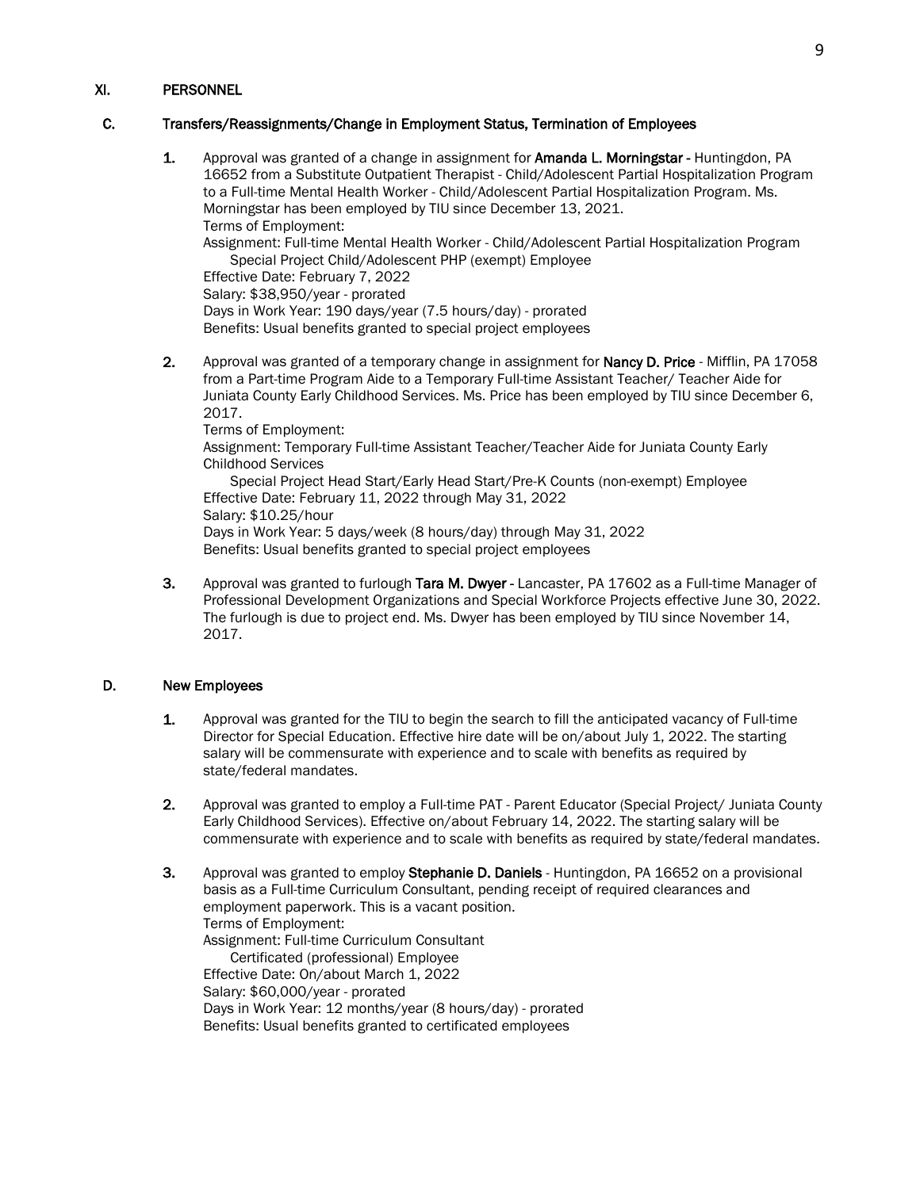### C. Transfers/Reassignments/Change in Employment Status, Termination of Employees

1. Approval was granted of a change in assignment for Amanda L. Morningstar - Huntingdon, PA 16652 from a Substitute Outpatient Therapist - Child/Adolescent Partial Hospitalization Program to a Full-time Mental Health Worker - Child/Adolescent Partial Hospitalization Program. Ms. Morningstar has been employed by TIU since December 13, 2021. Terms of Employment:

Assignment: Full-time Mental Health Worker - Child/Adolescent Partial Hospitalization Program Special Project Child/Adolescent PHP (exempt) Employee

Effective Date: February 7, 2022

Salary: \$38,950/year - prorated

Days in Work Year: 190 days/year (7.5 hours/day) - prorated Benefits: Usual benefits granted to special project employees

2. Approval was granted of a temporary change in assignment for **Nancy D. Price** - Mifflin, PA 17058 from a Part-time Program Aide to a Temporary Full-time Assistant Teacher/ Teacher Aide for Juniata County Early Childhood Services. Ms. Price has been employed by TIU since December 6, 2017.

Terms of Employment: Assignment: Temporary Full-time Assistant Teacher/Teacher Aide for Juniata County Early Childhood Services Special Project Head Start/Early Head Start/Pre-K Counts (non-exempt) Employee

Effective Date: February 11, 2022 through May 31, 2022 Salary: \$10.25/hour Days in Work Year: 5 days/week (8 hours/day) through May 31, 2022 Benefits: Usual benefits granted to special project employees

3. Approval was granted to furlough Tara M. Dwyer - Lancaster, PA 17602 as a Full-time Manager of Professional Development Organizations and Special Workforce Projects effective June 30, 2022. The furlough is due to project end. Ms. Dwyer has been employed by TIU since November 14, 2017.

### D. New Employees

- 1. Approval was granted for the TIU to begin the search to fill the anticipated vacancy of Full-time Director for Special Education. Effective hire date will be on/about July 1, 2022. The starting salary will be commensurate with experience and to scale with benefits as required by state/federal mandates.
- 2. Approval was granted to employ a Full-time PAT Parent Educator (Special Project/ Juniata County Early Childhood Services). Effective on/about February 14, 2022. The starting salary will be commensurate with experience and to scale with benefits as required by state/federal mandates.
- 3. Approval was granted to employ Stephanie D. Daniels Huntingdon, PA 16652 on a provisional basis as a Full-time Curriculum Consultant, pending receipt of required clearances and employment paperwork. This is a vacant position. Terms of Employment: Assignment: Full-time Curriculum Consultant Certificated (professional) Employee Effective Date: On/about March 1, 2022 Salary: \$60,000/year - prorated Days in Work Year: 12 months/year (8 hours/day) - prorated Benefits: Usual benefits granted to certificated employees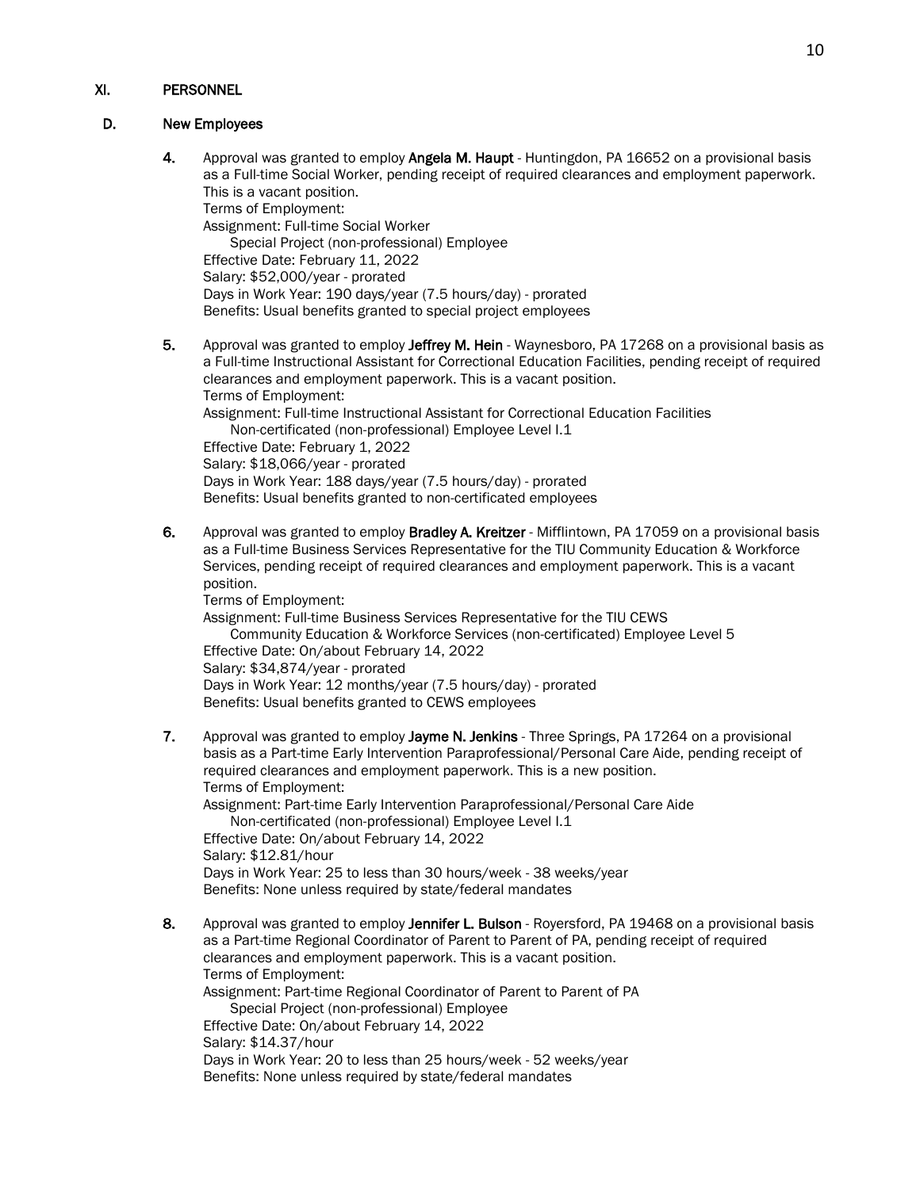### D. New Employees

- 4. Approval was granted to employ Angela M. Haupt Huntingdon, PA 16652 on a provisional basis as a Full-time Social Worker, pending receipt of required clearances and employment paperwork. This is a vacant position. Terms of Employment: Assignment: Full-time Social Worker Special Project (non-professional) Employee Effective Date: February 11, 2022 Salary: \$52,000/year - prorated Days in Work Year: 190 days/year (7.5 hours/day) - prorated Benefits: Usual benefits granted to special project employees
- 5. Approval was granted to employ Jeffrey M. Hein Waynesboro, PA 17268 on a provisional basis as a Full-time Instructional Assistant for Correctional Education Facilities, pending receipt of required clearances and employment paperwork. This is a vacant position. Terms of Employment: Assignment: Full-time Instructional Assistant for Correctional Education Facilities Non-certificated (non-professional) Employee Level I.1 Effective Date: February 1, 2022 Salary: \$18,066/year - prorated Days in Work Year: 188 days/year (7.5 hours/day) - prorated Benefits: Usual benefits granted to non-certificated employees
- 6. Approval was granted to employ Bradley A. Kreitzer Mifflintown, PA 17059 on a provisional basis as a Full-time Business Services Representative for the TIU Community Education & Workforce Services, pending receipt of required clearances and employment paperwork. This is a vacant position.

Terms of Employment: Assignment: Full-time Business Services Representative for the TIU CEWS Community Education & Workforce Services (non-certificated) Employee Level 5 Effective Date: On/about February 14, 2022

Salary: \$34,874/year - prorated Days in Work Year: 12 months/year (7.5 hours/day) - prorated Benefits: Usual benefits granted to CEWS employees

- 7. Approval was granted to employ Jayme N. Jenkins Three Springs, PA 17264 on a provisional basis as a Part-time Early Intervention Paraprofessional/Personal Care Aide, pending receipt of required clearances and employment paperwork. This is a new position. Terms of Employment: Assignment: Part-time Early Intervention Paraprofessional/Personal Care Aide Non-certificated (non-professional) Employee Level I.1 Effective Date: On/about February 14, 2022 Salary: \$12.81/hour Days in Work Year: 25 to less than 30 hours/week - 38 weeks/year Benefits: None unless required by state/federal mandates
- 8. Approval was granted to employ Jennifer L. Bulson Royersford, PA 19468 on a provisional basis as a Part-time Regional Coordinator of Parent to Parent of PA, pending receipt of required clearances and employment paperwork. This is a vacant position. Terms of Employment: Assignment: Part-time Regional Coordinator of Parent to Parent of PA Special Project (non-professional) Employee Effective Date: On/about February 14, 2022 Salary: \$14.37/hour Days in Work Year: 20 to less than 25 hours/week - 52 weeks/year Benefits: None unless required by state/federal mandates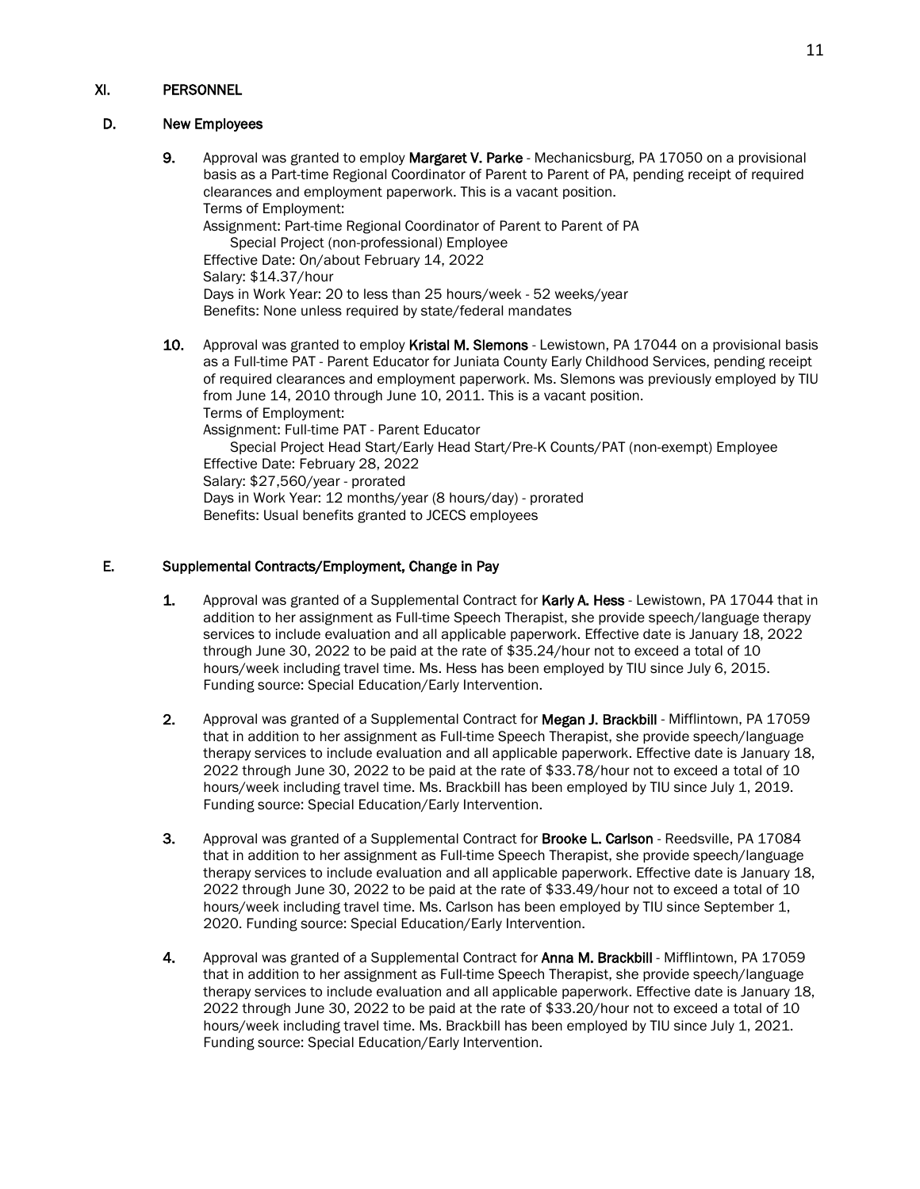### D. New Employees

9. Approval was granted to employ Margaret V. Parke - Mechanicsburg, PA 17050 on a provisional basis as a Part-time Regional Coordinator of Parent to Parent of PA, pending receipt of required clearances and employment paperwork. This is a vacant position. Terms of Employment: Assignment: Part-time Regional Coordinator of Parent to Parent of PA Special Project (non-professional) Employee Effective Date: On/about February 14, 2022 Salary: \$14.37/hour Days in Work Year: 20 to less than 25 hours/week - 52 weeks/year Benefits: None unless required by state/federal mandates 10. Approval was granted to employ Kristal M. Slemons - Lewistown, PA 17044 on a provisional basis as a Full-time PAT - Parent Educator for Juniata County Early Childhood Services, pending receipt of required clearances and employment paperwork. Ms. Slemons was previously employed by TIU from June 14, 2010 through June 10, 2011. This is a vacant position. Terms of Employment: Assignment: Full-time PAT - Parent Educator Special Project Head Start/Early Head Start/Pre-K Counts/PAT (non-exempt) Employee Effective Date: February 28, 2022 Salary: \$27,560/year - prorated

Days in Work Year: 12 months/year (8 hours/day) - prorated Benefits: Usual benefits granted to JCECS employees

## E. Supplemental Contracts/Employment, Change in Pay

- 1. Approval was granted of a Supplemental Contract for Karly A. Hess Lewistown, PA 17044 that in addition to her assignment as Full-time Speech Therapist, she provide speech/language therapy services to include evaluation and all applicable paperwork. Effective date is January 18, 2022 through June 30, 2022 to be paid at the rate of \$35.24/hour not to exceed a total of 10 hours/week including travel time. Ms. Hess has been employed by TIU since July 6, 2015. Funding source: Special Education/Early Intervention.
- 2. Approval was granted of a Supplemental Contract for Megan J. Brackbill Mifflintown, PA 17059 that in addition to her assignment as Full-time Speech Therapist, she provide speech/language therapy services to include evaluation and all applicable paperwork. Effective date is January 18, 2022 through June 30, 2022 to be paid at the rate of \$33.78/hour not to exceed a total of 10 hours/week including travel time. Ms. Brackbill has been employed by TIU since July 1, 2019. Funding source: Special Education/Early Intervention.
- 3. Approval was granted of a Supplemental Contract for Brooke L. Carlson Reedsville, PA 17084 that in addition to her assignment as Full-time Speech Therapist, she provide speech/language therapy services to include evaluation and all applicable paperwork. Effective date is January 18, 2022 through June 30, 2022 to be paid at the rate of \$33.49/hour not to exceed a total of 10 hours/week including travel time. Ms. Carlson has been employed by TIU since September 1, 2020. Funding source: Special Education/Early Intervention.
- 4. Approval was granted of a Supplemental Contract for **Anna M. Brackbill** Mifflintown, PA 17059 that in addition to her assignment as Full-time Speech Therapist, she provide speech/language therapy services to include evaluation and all applicable paperwork. Effective date is January 18, 2022 through June 30, 2022 to be paid at the rate of \$33.20/hour not to exceed a total of 10 hours/week including travel time. Ms. Brackbill has been employed by TIU since July 1, 2021. Funding source: Special Education/Early Intervention.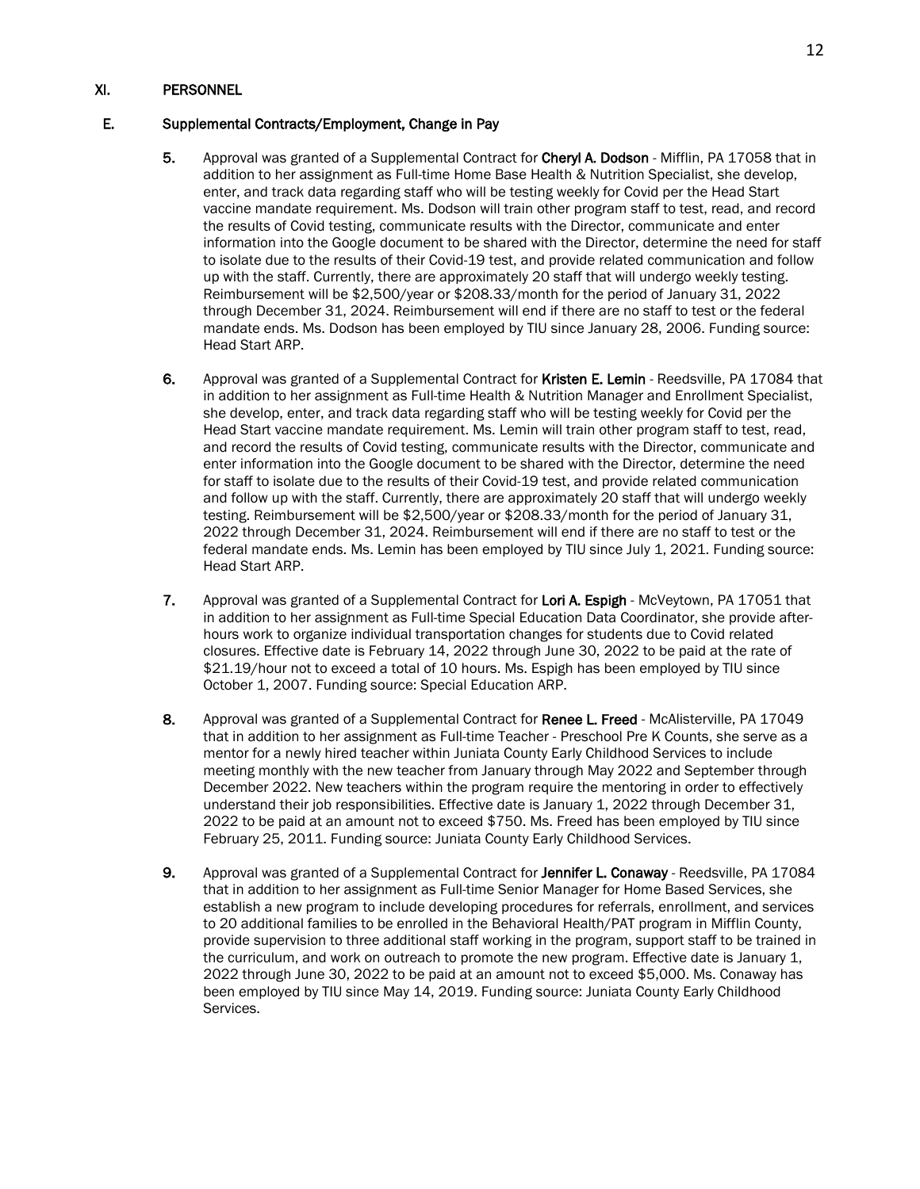### E. Supplemental Contracts/Employment, Change in Pay

- 5. Approval was granted of a Supplemental Contract for Cheryl A. Dodson Mifflin, PA 17058 that in addition to her assignment as Full-time Home Base Health & Nutrition Specialist, she develop, enter, and track data regarding staff who will be testing weekly for Covid per the Head Start vaccine mandate requirement. Ms. Dodson will train other program staff to test, read, and record the results of Covid testing, communicate results with the Director, communicate and enter information into the Google document to be shared with the Director, determine the need for staff to isolate due to the results of their Covid-19 test, and provide related communication and follow up with the staff. Currently, there are approximately 20 staff that will undergo weekly testing. Reimbursement will be \$2,500/year or \$208.33/month for the period of January 31, 2022 through December 31, 2024. Reimbursement will end if there are no staff to test or the federal mandate ends. Ms. Dodson has been employed by TIU since January 28, 2006. Funding source: Head Start ARP.
- 6. Approval was granted of a Supplemental Contract for Kristen E. Lemin Reedsville, PA 17084 that in addition to her assignment as Full-time Health & Nutrition Manager and Enrollment Specialist, she develop, enter, and track data regarding staff who will be testing weekly for Covid per the Head Start vaccine mandate requirement. Ms. Lemin will train other program staff to test, read, and record the results of Covid testing, communicate results with the Director, communicate and enter information into the Google document to be shared with the Director, determine the need for staff to isolate due to the results of their Covid-19 test, and provide related communication and follow up with the staff. Currently, there are approximately 20 staff that will undergo weekly testing. Reimbursement will be \$2,500/year or \$208.33/month for the period of January 31, 2022 through December 31, 2024. Reimbursement will end if there are no staff to test or the federal mandate ends. Ms. Lemin has been employed by TIU since July 1, 2021. Funding source: Head Start ARP.
- 7. Approval was granted of a Supplemental Contract for Lori A. Espigh McVeytown, PA 17051 that in addition to her assignment as Full-time Special Education Data Coordinator, she provide afterhours work to organize individual transportation changes for students due to Covid related closures. Effective date is February 14, 2022 through June 30, 2022 to be paid at the rate of \$21.19/hour not to exceed a total of 10 hours. Ms. Espigh has been employed by TIU since October 1, 2007. Funding source: Special Education ARP.
- 8. Approval was granted of a Supplemental Contract for Renee L. Freed McAlisterville, PA 17049 that in addition to her assignment as Full-time Teacher - Preschool Pre K Counts, she serve as a mentor for a newly hired teacher within Juniata County Early Childhood Services to include meeting monthly with the new teacher from January through May 2022 and September through December 2022. New teachers within the program require the mentoring in order to effectively understand their job responsibilities. Effective date is January 1, 2022 through December 31, 2022 to be paid at an amount not to exceed \$750. Ms. Freed has been employed by TIU since February 25, 2011. Funding source: Juniata County Early Childhood Services.
- 9. Approval was granted of a Supplemental Contract for Jennifer L. Conaway Reedsville, PA 17084 that in addition to her assignment as Full-time Senior Manager for Home Based Services, she establish a new program to include developing procedures for referrals, enrollment, and services to 20 additional families to be enrolled in the Behavioral Health/PAT program in Mifflin County, provide supervision to three additional staff working in the program, support staff to be trained in the curriculum, and work on outreach to promote the new program. Effective date is January 1, 2022 through June 30, 2022 to be paid at an amount not to exceed \$5,000. Ms. Conaway has been employed by TIU since May 14, 2019. Funding source: Juniata County Early Childhood Services.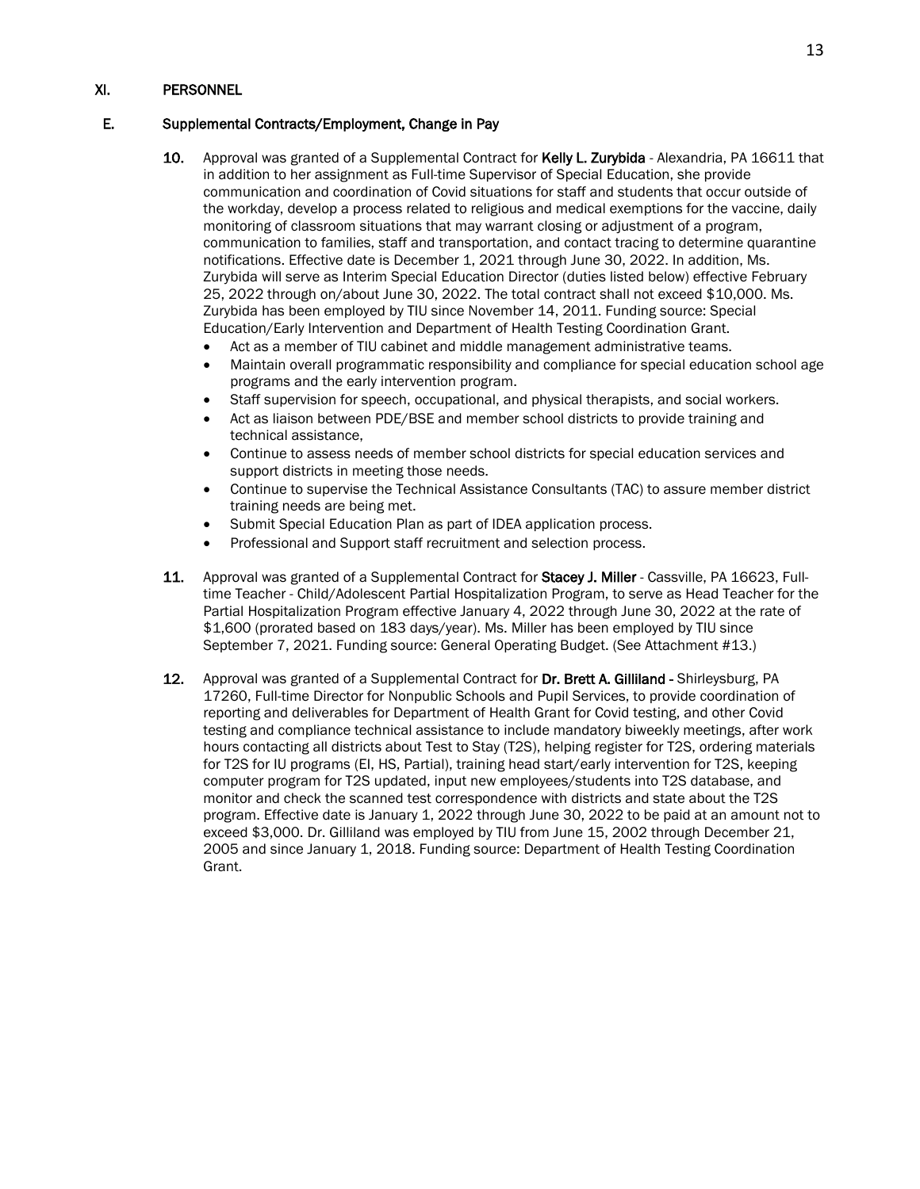## E. Supplemental Contracts/Employment, Change in Pay

- 10. Approval was granted of a Supplemental Contract for Kelly L. Zurybida Alexandria, PA 16611 that in addition to her assignment as Full-time Supervisor of Special Education, she provide communication and coordination of Covid situations for staff and students that occur outside of the workday, develop a process related to religious and medical exemptions for the vaccine, daily monitoring of classroom situations that may warrant closing or adjustment of a program, communication to families, staff and transportation, and contact tracing to determine quarantine notifications. Effective date is December 1, 2021 through June 30, 2022. In addition, Ms. Zurybida will serve as Interim Special Education Director (duties listed below) effective February 25, 2022 through on/about June 30, 2022. The total contract shall not exceed \$10,000. Ms. Zurybida has been employed by TIU since November 14, 2011. Funding source: Special Education/Early Intervention and Department of Health Testing Coordination Grant.
	- Act as a member of TIU cabinet and middle management administrative teams.
	- Maintain overall programmatic responsibility and compliance for special education school age programs and the early intervention program.
	- Staff supervision for speech, occupational, and physical therapists, and social workers.
	- Act as liaison between PDE/BSE and member school districts to provide training and technical assistance,
	- Continue to assess needs of member school districts for special education services and support districts in meeting those needs.
	- Continue to supervise the Technical Assistance Consultants (TAC) to assure member district training needs are being met.
	- Submit Special Education Plan as part of IDEA application process.
	- Professional and Support staff recruitment and selection process.
- 11. Approval was granted of a Supplemental Contract for Stacey J. Miller Cassville, PA 16623, Fulltime Teacher - Child/Adolescent Partial Hospitalization Program, to serve as Head Teacher for the Partial Hospitalization Program effective January 4, 2022 through June 30, 2022 at the rate of \$1,600 (prorated based on 183 days/year). Ms. Miller has been employed by TIU since September 7, 2021. Funding source: General Operating Budget. (See Attachment #13.)
- 12. Approval was granted of a Supplemental Contract for Dr. Brett A. Gilliland Shirleysburg, PA 17260, Full-time Director for Nonpublic Schools and Pupil Services, to provide coordination of reporting and deliverables for Department of Health Grant for Covid testing, and other Covid testing and compliance technical assistance to include mandatory biweekly meetings, after work hours contacting all districts about Test to Stay (T2S), helping register for T2S, ordering materials for T2S for IU programs (EI, HS, Partial), training head start/early intervention for T2S, keeping computer program for T2S updated, input new employees/students into T2S database, and monitor and check the scanned test correspondence with districts and state about the T2S program. Effective date is January 1, 2022 through June 30, 2022 to be paid at an amount not to exceed \$3,000. Dr. Gilliland was employed by TIU from June 15, 2002 through December 21, 2005 and since January 1, 2018. Funding source: Department of Health Testing Coordination Grant.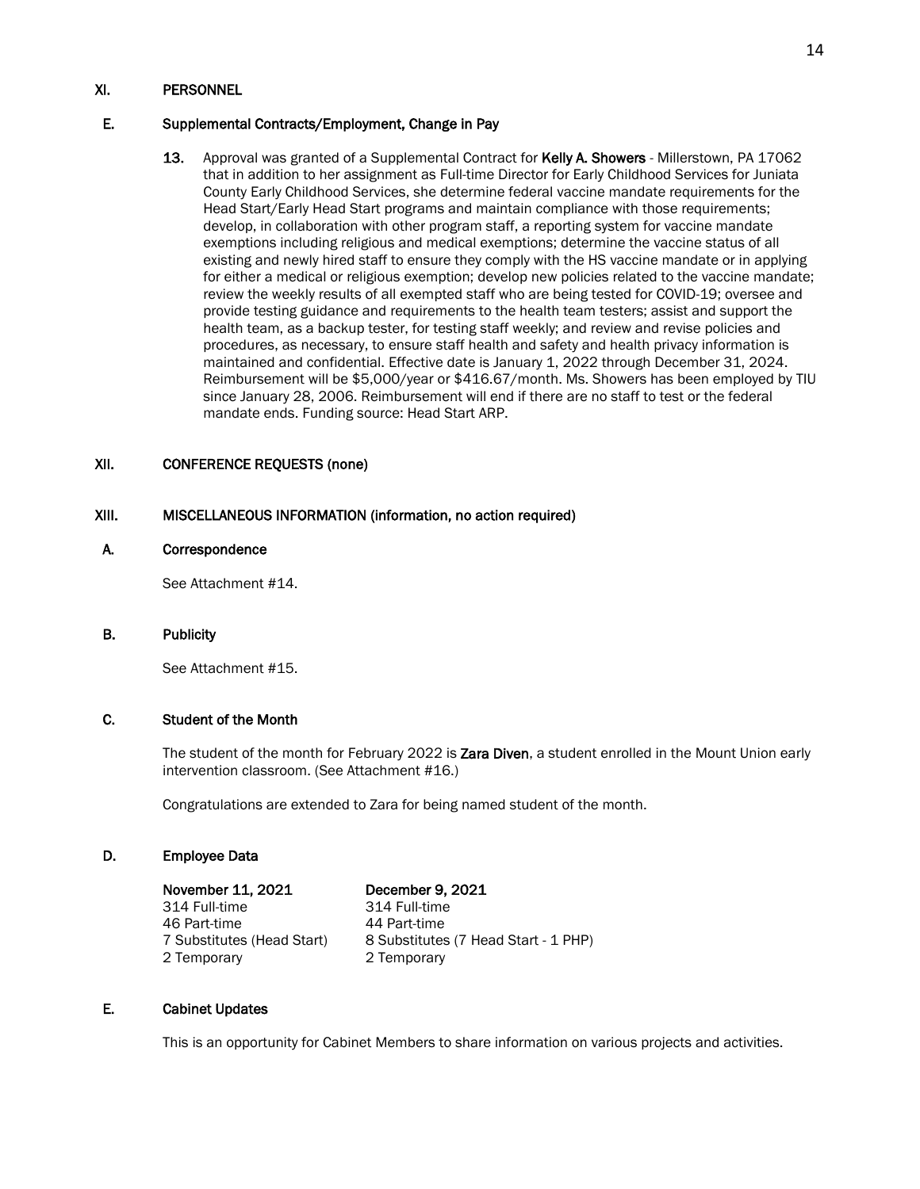### E. Supplemental Contracts/Employment, Change in Pay

13. Approval was granted of a Supplemental Contract for Kelly A. Showers - Millerstown, PA 17062 that in addition to her assignment as Full-time Director for Early Childhood Services for Juniata County Early Childhood Services, she determine federal vaccine mandate requirements for the Head Start/Early Head Start programs and maintain compliance with those requirements; develop, in collaboration with other program staff, a reporting system for vaccine mandate exemptions including religious and medical exemptions; determine the vaccine status of all existing and newly hired staff to ensure they comply with the HS vaccine mandate or in applying for either a medical or religious exemption; develop new policies related to the vaccine mandate; review the weekly results of all exempted staff who are being tested for COVID-19; oversee and provide testing guidance and requirements to the health team testers; assist and support the health team, as a backup tester, for testing staff weekly; and review and revise policies and procedures, as necessary, to ensure staff health and safety and health privacy information is maintained and confidential. Effective date is January 1, 2022 through December 31, 2024. Reimbursement will be \$5,000/year or \$416.67/month. Ms. Showers has been employed by TIU since January 28, 2006. Reimbursement will end if there are no staff to test or the federal mandate ends. Funding source: Head Start ARP.

# XII. CONFERENCE REQUESTS (none)

### XIII. MISCELLANEOUS INFORMATION (information, no action required)

#### A. Correspondence

See Attachment #14.

### B. Publicity

See Attachment #15.

# C. Student of the Month

The student of the month for February 2022 is Zara Diven, a student enrolled in the Mount Union early intervention classroom. (See Attachment #16.)

Congratulations are extended to Zara for being named student of the month.

#### D. Employee Data

 November 11, 2021 December 9, 2021 314 Full-time 314 Full-time 46 Part-time<br>7 Substitutes (Head Start) 2 Temporary 2 Temporary

8 Substitutes (7 Head Start - 1 PHP)

### E. Cabinet Updates

This is an opportunity for Cabinet Members to share information on various projects and activities.